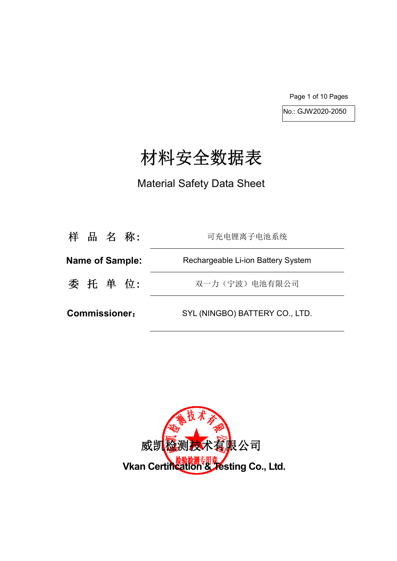Page 1 of 10 Pages

No.: GJW2020-2050

# 材料安全数据表

Material Safety Data Sheet

| 样 品 名 称:               | 可充电锂离子电池系统                         |
|------------------------|------------------------------------|
| <b>Name of Sample:</b> | Rechargeable Li-ion Battery System |
| 委 托 单 位:               | 双一力(宁波)电池有限公司                      |
| <b>Commissioner:</b>   | SYL (NINGBO) BATTERY CO., LTD.     |

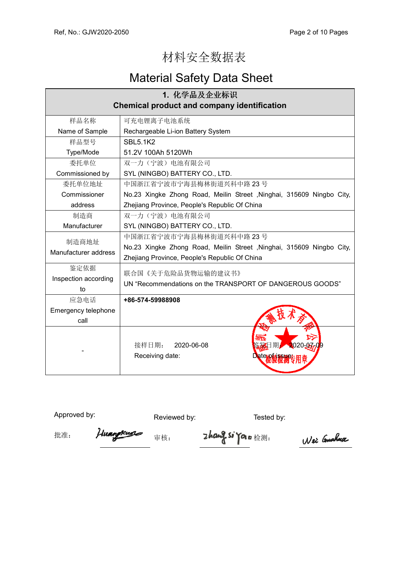## 材料安全数据表

## Material Safety Data Sheet

| 1. 化学品及企业标识                                        |                                                                                |  |
|----------------------------------------------------|--------------------------------------------------------------------------------|--|
| <b>Chemical product and company identification</b> |                                                                                |  |
| 样品名称                                               | 可充电锂离子电池系统                                                                     |  |
| Name of Sample                                     | Rechargeable Li-ion Battery System                                             |  |
| 样品型号                                               | <b>SBL5.1K2</b>                                                                |  |
| Type/Mode                                          | 51.2V 100Ah 5120Wh                                                             |  |
| 委托单位                                               | 双一力(宁波)电池有限公司                                                                  |  |
| Commissioned by                                    | SYL (NINGBO) BATTERY CO., LTD.                                                 |  |
| 委托单位地址                                             | 中国浙江省宁波市宁海县梅林街道兴科中路 23号                                                        |  |
| Commissioner                                       | No.23 Xingke Zhong Road, Meilin Street, Ninghai, 315609 Ningbo City,           |  |
| address                                            | Zhejiang Province, People's Republic Of China                                  |  |
| 制造商                                                | 双一力(宁波)电池有限公司                                                                  |  |
| Manufacturer                                       | SYL (NINGBO) BATTERY CO., LTD.                                                 |  |
|                                                    | 中国浙江省宁波市宁海县梅林街道兴科中路 23号                                                        |  |
| 制造商地址<br>Manufacturer address                      | No.23 Xingke Zhong Road, Meilin Street, Ninghai, 315609 Ningbo City,           |  |
|                                                    | Zhejiang Province, People's Republic Of China                                  |  |
| 鉴定依据                                               |                                                                                |  |
| Inspection according                               |                                                                                |  |
| to                                                 |                                                                                |  |
| 应急电话                                               | +86-574-59988908                                                               |  |
| Emergency telephone                                |                                                                                |  |
| call                                               |                                                                                |  |
|                                                    |                                                                                |  |
|                                                    | 接样日期:<br>2020-06-08<br>020-07-09                                               |  |
|                                                    | Receiving date:<br>Jate wi                                                     |  |
|                                                    |                                                                                |  |
|                                                    | 联合国《关于危险品货物运输的建议书》<br>UN "Recommendations on the TRANSPORT OF DANGEROUS GOODS" |  |

Approved by: Reviewed by: Reviewed by: Tested by:

批准: Huangkuse 审核: **Zhang Si Yor** 检测:

Wei Gushna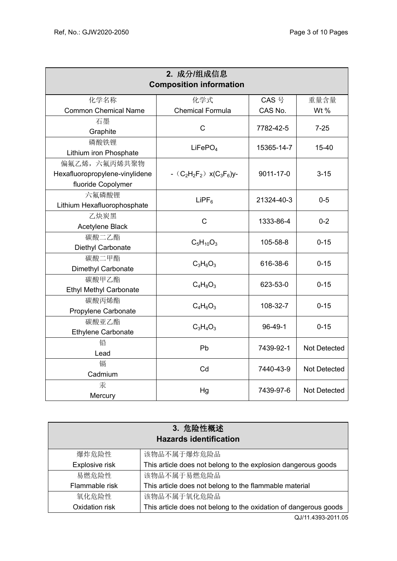| 2. 成分/组成信息<br><b>Composition information</b> |                                 |            |                     |  |  |
|----------------------------------------------|---------------------------------|------------|---------------------|--|--|
| 化学名称                                         | 化学式                             | CAS 号      | 重量含量                |  |  |
| <b>Common Chemical Name</b>                  | <b>Chemical Formula</b>         | CAS No.    | Wt %                |  |  |
| 石墨                                           | C                               | 7782-42-5  | $7 - 25$            |  |  |
| Graphite                                     |                                 |            |                     |  |  |
| 磷酸铁锂                                         | LiFePO <sub>4</sub>             | 15365-14-7 | $15 - 40$           |  |  |
| Lithium iron Phosphate                       |                                 |            |                     |  |  |
| 偏氟乙烯, 六氟丙烯共聚物                                |                                 |            |                     |  |  |
| Hexafluoropropylene-vinylidene               | - $(C_2H_2F_2)$ x( $C_3F_6$ )y- | 9011-17-0  | $3 - 15$            |  |  |
| fluoride Copolymer                           |                                 |            |                     |  |  |
| 六氟磷酸锂                                        | $L$ iPF <sub>6</sub>            | 21324-40-3 | $0 - 5$             |  |  |
| Lithium Hexafluorophosphate                  |                                 |            |                     |  |  |
| 乙炔炭黑                                         | $\mathsf{C}$                    | 1333-86-4  | $0 - 2$             |  |  |
| Acetylene Black                              |                                 |            |                     |  |  |
| 碳酸二乙酯                                        | $C_5H_{10}O_3$                  | 105-58-8   | $0 - 15$            |  |  |
| Diethyl Carbonate                            |                                 |            |                     |  |  |
| 碳酸二甲酯                                        | $C_3H_6O_3$                     | 616-38-6   | $0 - 15$            |  |  |
| Dimethyl Carbonate                           |                                 |            |                     |  |  |
| 碳酸甲乙酯                                        | $C_4H_8O_3$                     | 623-53-0   | $0 - 15$            |  |  |
| <b>Ethyl Methyl Carbonate</b>                |                                 |            |                     |  |  |
| 碳酸丙烯酯                                        | $C_4H_6O_3$                     | 108-32-7   | $0 - 15$            |  |  |
| Propylene Carbonate<br>碳酸亚乙酯                 |                                 |            |                     |  |  |
|                                              | $C_3H_4O_3$                     | $96-49-1$  | $0 - 15$            |  |  |
| Ethylene Carbonate<br>铅                      |                                 |            |                     |  |  |
| Lead                                         | Pb                              | 7439-92-1  | <b>Not Detected</b> |  |  |
| 镉                                            |                                 |            |                     |  |  |
| Cadmium                                      | Cd                              | 7440-43-9  | <b>Not Detected</b> |  |  |
| 汞                                            |                                 |            |                     |  |  |
| Mercury                                      | Hg                              | 7439-97-6  | Not Detected        |  |  |

| 3. 危险性概述                      |                                                                  |  |  |  |
|-------------------------------|------------------------------------------------------------------|--|--|--|
| <b>Hazards identification</b> |                                                                  |  |  |  |
| 爆炸危险性                         | 该物品不属于爆炸危险品                                                      |  |  |  |
| Explosive risk                | This article does not belong to the explosion dangerous goods    |  |  |  |
| 易燃危险性                         | 该物品不属于易燃危险品                                                      |  |  |  |
| Flammable risk                | This article does not belong to the flammable material           |  |  |  |
| 氧化危险性                         | 该物品不属于氧化危险品                                                      |  |  |  |
| Oxidation risk                | This article does not belong to the oxidation of dangerous goods |  |  |  |

QJ/11.4393-2011.05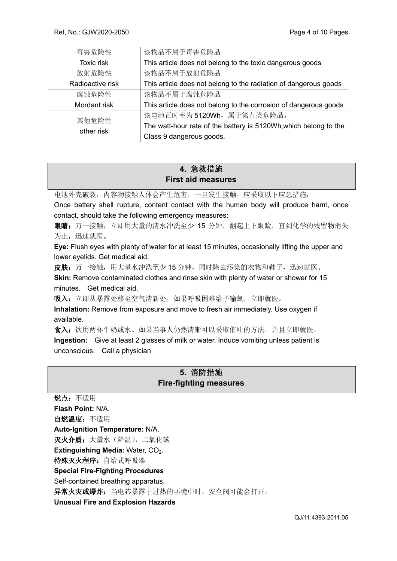| 毒害危险性               | 该物品不属于毒害危险品                                                      |  |
|---------------------|------------------------------------------------------------------|--|
| Toxic risk          | This article does not belong to the toxic dangerous goods        |  |
| 放射危险性               | 该物品不属于放射危险品                                                      |  |
| Radioactive risk    | This article does not belong to the radiation of dangerous goods |  |
| 腐蚀危险性               | 该物品不属于腐蚀危险品                                                      |  |
| Mordant risk        | This article does not belong to the corrosion of dangerous goods |  |
| 其他危险性<br>other risk | 该电池瓦时率为5120Wh, 属于第九类危险品。                                         |  |
|                     | The watt-hour rate of the battery is 5120Wh, which belong to the |  |
|                     | Class 9 dangerous goods.                                         |  |

## **4.** 急救措施 **First aid measures**

电池外壳破裂,内容物接触人体会产生危害,一旦发生接触,应采取以下应急措施:

Once battery shell rupture, content contact with the human body will produce harm, once contact, should take the following emergency measures:

眼睛: 万一接触, 立即用大量的清水冲洗至少 15 分钟, 翻起上下眼睑, 直到化学的残留物消失 为止,迅速就医。

**Eye:** Flush eyes with plenty of water for at least 15 minutes, occasionally lifting the upper and lower eyelids. Get medical aid.

皮肤:万一接触,用大量水冲洗至少15分钟,同时除去污染的衣物和鞋子,迅速就医。

**Skin:** Remove contaminated clothes and rinse skin with plenty of water or shower for 15 minutes. Get medical aid.

吸入: 立即从暴露处移至空气清新处, 如果呼吸困难给予输氧, 立即就医。

**Inhalation:** Remove from exposure and move to fresh air immediately. Use oxygen if available.

食入:饮用两杯牛奶或水。如果当事人仍然清晰可以采取催吐的方法,并且立即就医。 **Ingestion:** Give at least 2 glasses of milk or water. Induce vomiting unless patient is unconscious. Call a physician

## **5.** 消防措施 **Fire-fighting measures**

燃点:不适用 **Flash Point:** N/A. 自燃温度:不适用 **Auto-Ignition Temperature:** N/A. 灭火介质: 大量水(降温), 二氧化碳 **Extinguishing Media: Water, CO<sub>2</sub>.** 特殊灭火程序: 自给式呼吸器 **Special Fire-Fighting Procedures**  Self-contained breathing apparatus. 异常火灾或爆炸: 当电芯暴露于过热的环境中时, 安全阀可能会打开。 **Unusual Fire and Explosion Hazards**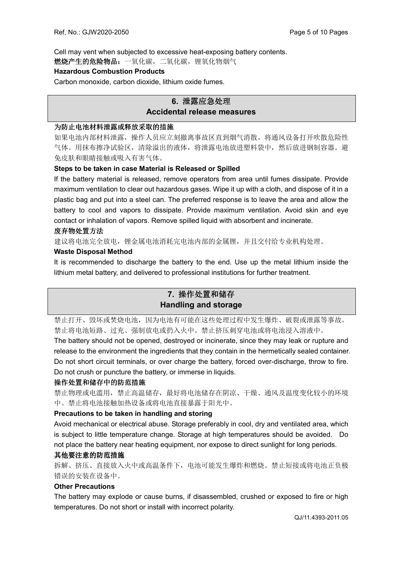Cell may vent when subjected to excessive heat-exposing battery contents.

燃烧产生的危险物品:一氧化碳,二氧化碳,锂氧化物烟气

#### **Hazardous Combustion Products**

Carbon monoxide, carbon dioxide, lithium oxide fumes.

## **6.** 泄露应急处理 **Accidental release measures**

#### 为防止电池材料泄露或释放采取的措施

如果电池内部材料泄露,操作人员应立刻撤离事故区直到烟气消散。将通风设备打开吹散危险性 气体。用抹布擦净试验区,清除溢出的液体,将泄露电池放进塑料袋中,然后放进钢制容器。避 免皮肤和眼睛接触或吸入有害气体。

#### **Steps to be taken in case Material is Released or Spilled**

If the battery material is released, remove operators from area until fumes dissipate. Provide maximum ventilation to clear out hazardous gases. Wipe it up with a cloth, and dispose of it in a plastic bag and put into a steel can. The preferred response is to leave the area and allow the battery to cool and vapors to dissipate. Provide maximum ventilation. Avoid skin and eye contact or inhalation of vapors. Remove spilled liquid with absorbent and incinerate.

#### 废弃物处置方法

建议将电池完全放电,锂金属电池消耗完电池内部的金属锂,并且交付给专业机构处理。

#### **Waste Disposal Method**

It is recommended to discharge the battery to the end. Use up the metal lithium inside the lithium metal battery, and delivered to professional institutions for further treatment.

## **7.** 操作处置和储存 **Handling and storage**

禁止打开、毁坏或焚烧电池,因为电池有可能在这些处理过程中发生爆炸、破裂或泄露等事故。 禁止将电池短路、过充、强制放电或扔入火中。禁止挤压刺穿电池或将电池浸入溶液中。

The battery should not be opened, destroyed or incinerate, since they may leak or rupture and release to the environment the ingredients that they contain in the hermetically sealed container. Do not short circuit terminals, or over charge the battery, forced over-discharge, throw to fire. Do not crush or puncture the battery, or immerse in liquids.

#### 操作处置和储存中的防范措施

禁止物理或电滥用,禁止高温储存,最好将电池储存在阴凉、干燥、通风及温度变化较小的环境 中。禁止将电池接触加热设备或将电池直接暴露于阳光中。

#### **Precautions to be taken in handling and storing**

Avoid mechanical or electrical abuse. Storage preferably in cool, dry and ventilated area, which is subject to little temperature change. Storage at high temperatures should be avoided. Do not place the battery near heating equipment, nor expose to direct sunlight for long periods.

#### 其他要注意的防范措施

拆解、挤压、直接放入火中或高温条件下,电池可能发生爆炸和燃烧。禁止短接或将电池正负极 错误的安装在设备中。

#### **Other Precautions**

The battery may explode or cause burns, if disassembled, crushed or exposed to fire or high temperatures. Do not short or install with incorrect polarity.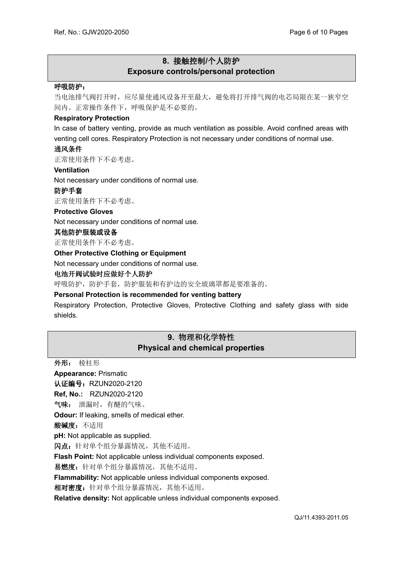## **8.** 接触控制**/**个人防护 **Exposure controls/personal protection**

#### 呼吸防护:

当电池排气阀打开时,应尽量使通风设备开至最大,避免将打开排气阀的电芯局限在某一狭窄空 间内。正常操作条件下,呼吸保护是不必要的。

#### **Respiratory Protection**

In case of battery venting, provide as much ventilation as possible. Avoid confined areas with venting cell cores. Respiratory Protection is not necessary under conditions of normal use.

#### 通风条件

正常使用条件下不必考虑。

#### **Ventilation**

Not necessary under conditions of normal use.

#### 防护手套

正常使用条件下不必考虑。

#### **Protective Gloves**

Not necessary under conditions of normal use.

#### 其他防护服装或设备

正常使用条件下不必考虑。

#### **Other Protective Clothing or Equipment**

Not necessary under conditions of normal use.

#### 电池开阀试验时应做好个人防护

呼吸防护,防护手套,防护服装和有护边的安全玻璃罩都是要准备的。

#### **Personal Protection is recommended for venting battery**

Respiratory Protection, Protective Gloves, Protective Clothing and safety glass with side shields.

## **9.** 物理和化学特性 **Physical and chemical properties**

外形: 棱柱形 **Appearance:** Prismatic 认证编号: RZUN2020-2120 **Ref, No.:** RZUN2020-2120 气味: 泄漏时,有醚的气味。 **Odour:** If leaking, smells of medical ether. 酸碱度:不适用 **pH:** Not applicable as supplied. 闪点: 针对单个组分暴露情况, 其他不适用。 **Flash Point:** Not applicable unless individual components exposed. 易燃度: 针对单个组分暴露情况, 其他不适用。 **Flammability:** Not applicable unless individual components exposed. 相对密度: 针对单个组分暴露情况, 其他不适用。 **Relative density:** Not applicable unless individual components exposed.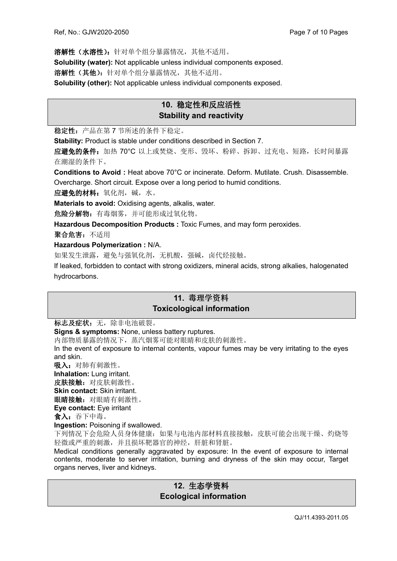溶解性(水溶性):针对单个组分暴露情况,其他不适用。 **Solubility (water):** Not applicable unless individual components exposed. 洛解性(其他): 针对单个组分暴露情况, 其他不适用。 **Solubility (other):** Not applicable unless individual components exposed.

## **10.** 稳定性和反应活性 **Stability and reactivity**

稳定性:产品在第 7 节所述的条件下稳定。

**Stability:** Product is stable under conditions described in Section 7.

应避免的条件: 加热 70°C 以上或焚烧、变形、毁坏、粉碎、拆卸、过充电、短路, 长时间暴露 在潮湿的条件下。

**Conditions to Avoid :** Heat above 70°C or incinerate. Deform. Mutilate. Crush. Disassemble. Overcharge. Short circuit. Expose over a long period to humid conditions.

应避免的材料:氧化剂,碱,水。

**Materials to avoid:** Oxidising agents, alkalis, water.

危险分解物: 有毒烟雾, 并可能形成过氧化物。

**Hazardous Decomposition Products :** Toxic Fumes, and may form peroxides.

聚合危害:不适用

**Hazardous Polymerization :** N/A.

如果发生泄露,避免与强氧化剂,无机酸,强碱,卤代烃接触。

If leaked, forbidden to contact with strong oxidizers, mineral acids, strong alkalies, halogenated hydrocarbons.

### **11.** 毒理学资料 **Toxicological information**

标志及症状: 无, 除非电池破裂。

**Signs & symptoms:** None, unless battery ruptures.

内部物质暴露的情况下,蒸汽烟雾可能对眼睛和皮肤的刺激性。

In the event of exposure to internal contents, vapour fumes may be very irritating to the eyes and skin.

吸入: 对肺有刺激性。

**Inhalation:** Lung irritant. 皮肤接触: 对皮肤刺激性。 **Skin contact:** Skin irritant.

眼睛接触: 对眼睛有刺激性。

**Eye contact:** Eye irritant

食入:吞下中毒。

**Ingestion:** Poisoning if swallowed.

下列情况下会危险人员身体健康:如果与电池内部材料直接接触,皮肤可能会出现干燥、灼烧等 轻微或严重的刺激,并且损坏靶器官的神经,肝脏和肾脏。

Medical conditions generally aggravated by exposure: In the event of exposure to internal contents, moderate to server irritation, burning and dryness of the skin may occur, Target organs nerves, liver and kidneys.

## **12.** 生态学资料  **Ecological information**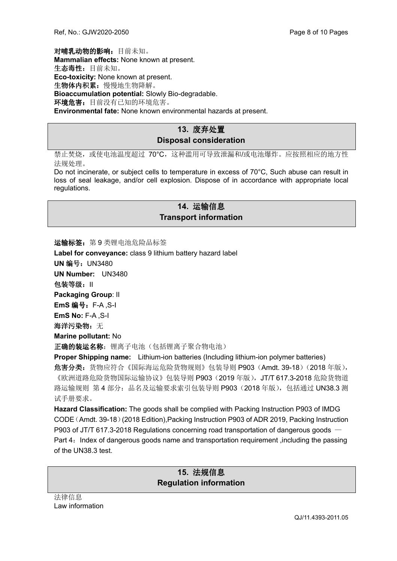对哺乳动物的影响:目前未知。 **Mammalian effects:** None known at present. 生态毒性:目前未知。 **Eco-toxicity:** None known at present. 生物体内积累:慢慢地生物降解。 **Bioaccumulation potential:** Slowly Bio-degradable. 环境危害: 目前没有已知的环境危害。 **Environmental fate:** None known environmental hazards at present.

## **13.** 废弃处置 **Disposal consideration**

禁止焚烧,或使电池温度超过 70°C,这种滥用可导致泄漏和/或电池爆炸。应按照相应的地方性 法规处理。

Do not incinerate, or subject cells to temperature in excess of 70°C, Such abuse can result in loss of seal leakage, and/or cell explosion. Dispose of in accordance with appropriate local regulations.

## **14.** 运输信息 **Transport information**

运输标签: 第9类锂电池危险品标签

**Label for conveyance:** class 9 lithium battery hazard label

**UN** 编号:UN3480

**UN Number:** UN3480

包装等级:II

**Packaging Group**: II

**EmS** 编号:F-A ,S-I

**EmS No:** F-A ,S-I

海洋污染物: 无

**Marine pollutant:** No

正确的装运名称: 锂离子电池(包括锂离子聚合物电池)

**Proper Shipping name:** Lithium-ion batteries (Including lithium-ion polymer batteries) 危害分类: 货物应符合《国际海运危险货物规则》包装导则 P903 (Amdt. 39-18) (2018 年版), 《欧洲道路危险货物国际运输协议》包装导则 P903 (2019 年版), JT/T 617.3-2018 危险货物道 路运输规则 第 4 部分: 品名及运输要求索引包装导则 P903 (2018 年版), 包括通过 UN38.3 测 试手册要求。

**Hazard Classification:** The goods shall be complied with Packing Instruction P903 of IMDG CODE(Amdt. 39-18)(2018 Edition),Packing Instruction P903 of ADR 2019, Packing Instruction P903 of JT/T 617.3-2018 Regulations concerning road transportation of dangerous goods — Part 4: Index of dangerous goods name and transportation requirement, including the passing of the UN38.3 test.

## **15.** 法规信息 **Regulation information**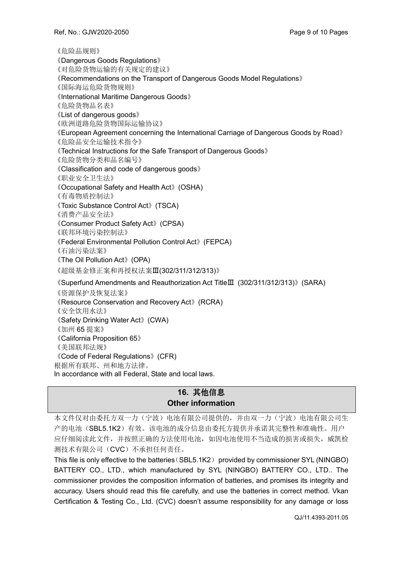《危险品规则》 《Dangerous Goods Regulations》 《对危险货物运输的有关规定的建议》 《Recommendations on the Transport of Dangerous Goods Model Regulations》 《国际海运危险货物规则》 《International Maritime Dangerous Goods》 《危险货物品名表》 《List of dangerous goods》 《欧洲道路危险货物国际运输协议》 《European Agreement concerning the International Carriage of Dangerous Goods by Road》 《危险品安全运输技术指令》 《Technical Instructions for the Safe Transport of Dangerous Goods》 《危险货物分类和品名编号》 《Classification and code of dangerous goods》 《职业安全卫生法》 《Occupational Safety and Health Act》(OSHA) 《有毒物质控制法》 《Toxic Substance Control Act》(TSCA) 《消费产品安全法》 《Consumer Product Safety Act》(CPSA) 《联邦环境污染控制法》 《Federal Environmental Pollution Control Act》(FEPCA) 《石油污染法案》 《The Oil Pollution Act》(OPA) 《超级基金修正案和再授权法案Ⅲ(302/311/312/313)》 《Superfund Amendments and Reauthorization Act TitleⅢ (302/311/312/313)》(SARA) 《资源保护及恢复法案》 《Resource Conservation and Recovery Act》(RCRA) 《安全饮用水法》 《Safety Drinking Water Act》(CWA) 《加州 65 提案》 《California Proposition 65》 《美国联邦法规》 《Code of Federal Regulations》(CFR) 根据所有联邦、州和地方法律。 In accordance with all Federal, State and local laws.

## **16.** 其他信息 **Other information**

本文件仅对由委托方双一力(宁波)电池有限公司提供的,并由双一力(宁波)电池有限公司生 产的电池(SBL5.1K2)有效。该电池的成分信息由委托方提供并承诺其完整性和准确性。用户 应仔细阅读此文件,并按照正确的方法使用电池,如因电池使用不当造成的损害或损失,威凯检 测技术有限公司(CVC)不承担任何责任。

This file is only effective to the batteries(SBL5.1K2) provided by commissioner SYL (NINGBO) BATTERY CO., LTD., which manufactured by SYL (NINGBO) BATTERY CO., LTD.. The commissioner provides the composition information of batteries, and promises its integrity and accuracy. Users should read this file carefully, and use the batteries in correct method. Vkan Certification & Testing Co., Ltd. (CVC) doesn't assume responsibility for any damage or loss